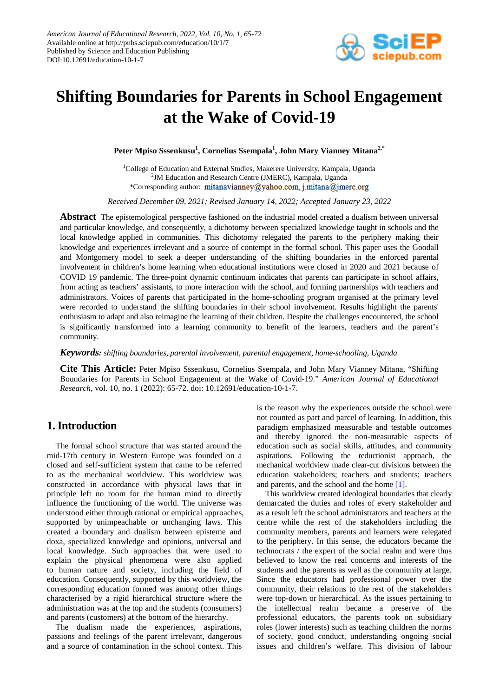

# **Shifting Boundaries for Parents in School Engagement at the Wake of Covid-19**

**Peter Mpiso Sssenkusu1 , Cornelius Ssempala<sup>1</sup> , John Mary Vianney Mitana2,\***

<sup>1</sup>College of Education and External Studies, Makerere University, Kampala, Uganda <sup>2</sup>JM Education and Research Centre (JMERC), Kampala, Uganda \*Corresponding author: mitanavianney@yahoo.com, j.mitana@jmerc.org

*Received December 09, 2021; Revised January 14, 2022; Accepted January 23, 2022*

**Abstract** The epistemological perspective fashioned on the industrial model created a dualism between universal and particular knowledge, and consequently, a dichotomy between specialized knowledge taught in schools and the local knowledge applied in communities. This dichotomy relegated the parents to the periphery making their knowledge and experiences irrelevant and a source of contempt in the formal school. This paper uses the Goodall and Montgomery model to seek a deeper understanding of the shifting boundaries in the enforced parental involvement in children's home learning when educational institutions were closed in 2020 and 2021 because of COVID 19 pandemic. The three-point dynamic continuum indicates that parents can participate in school affairs, from acting as teachers' assistants, to more interaction with the school, and forming partnerships with teachers and administrators. Voices of parents that participated in the home-schooling program organised at the primary level were recorded to understand the shifting boundaries in their school involvement. Results highlight the parents' enthusiasm to adapt and also reimagine the learning of their children. Despite the challenges encountered, the school is significantly transformed into a learning community to benefit of the learners, teachers and the parent's community.

*Keywords: shifting boundaries, parental involvement, parental engagement, home-schooling, Uganda*

**Cite This Article:** Peter Mpiso Sssenkusu, Cornelius Ssempala, and John Mary Vianney Mitana, "Shifting Boundaries for Parents in School Engagement at the Wake of Covid-19." *American Journal of Educational Research*, vol. 10, no. 1 (2022): 65-72. doi: 10.12691/education-10-1-7.

# **1. Introduction**

The formal school structure that was started around the mid-17th century in Western Europe was founded on a closed and self-sufficient system that came to be referred to as the mechanical worldview. This worldview was constructed in accordance with physical laws that in principle left no room for the human mind to directly influence the functioning of the world. The universe was understood either through rational or empirical approaches, supported by unimpeachable or unchanging laws. This created a boundary and dualism between episteme and doxa, specialized knowledge and opinions, universal and local knowledge. Such approaches that were used to explain the physical phenomena were also applied to human nature and society, including the field of education. Consequently, supported by this worldview, the corresponding education formed was among other things characterised by a rigid hierarchical structure where the administration was at the top and the students (consumers) and parents (customers) at the bottom of the hierarchy.

The dualism made the experiences, aspirations, passions and feelings of the parent irrelevant, dangerous and a source of contamination in the school context. This is the reason why the experiences outside the school were not counted as part and parcel of learning. In addition, this paradigm emphasized measurable and testable outcomes and thereby ignored the non-measurable aspects of education such as social skills, attitudes, and community aspirations. Following the reductionist approach, the mechanical worldview made clear-cut divisions between the education stakeholders; teachers and students; teachers and parents, and the school and the home [\[1\].](#page-7-0)

This worldview created ideological boundaries that clearly demarcated the duties and roles of every stakeholder and as a result left the school administrators and teachers at the centre while the rest of the stakeholders including the community members, parents and learners were relegated to the periphery. In this sense, the educators became the technocrats / the expert of the social realm and were thus believed to know the real concerns and interests of the students and the parents as well as the community at large. Since the educators had professional power over the community, their relations to the rest of the stakeholders were top-down or hierarchical. As the issues pertaining to the intellectual realm became a preserve of the professional educators, the parents took on subsidiary roles (lower interests) such as teaching children the norms of society, good conduct, understanding ongoing social issues and children's welfare. This division of labour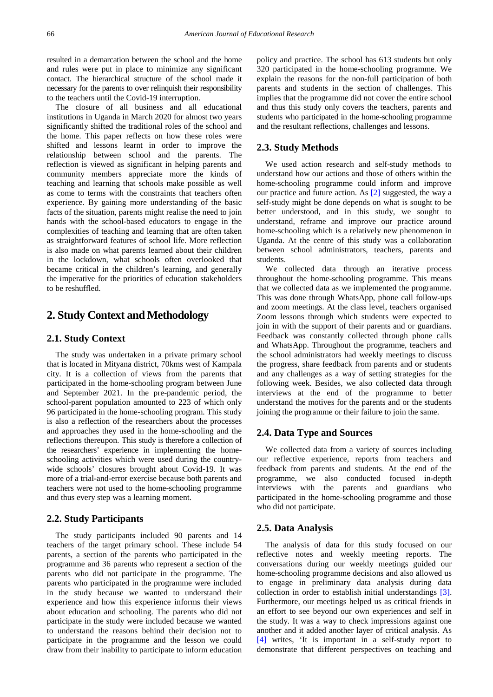resulted in a demarcation between the school and the home and rules were put in place to minimize any significant contact. The hierarchical structure of the school made it necessary for the parents to over relinquish their responsibility to the teachers until the Covid-19 interruption.

The closure of all business and all educational institutions in Uganda in March 2020 for almost two years significantly shifted the traditional roles of the school and the home. This paper reflects on how these roles were shifted and lessons learnt in order to improve the relationship between school and the parents. The reflection is viewed as significant in helping parents and community members appreciate more the kinds of teaching and learning that schools make possible as well as come to terms with the constraints that teachers often experience. By gaining more understanding of the basic facts of the situation, parents might realise the need to join hands with the school-based educators to engage in the complexities of teaching and learning that are often taken as straightforward features of school life. More reflection is also made on what parents learned about their children in the lockdown, what schools often overlooked that became critical in the children's learning, and generally the imperative for the priorities of education stakeholders to be reshuffled.

## **2. Study Context and Methodology**

## **2.1. Study Context**

The study was undertaken in a private primary school that is located in Mityana district, 70kms west of Kampala city. It is a collection of views from the parents that participated in the home-schooling program between June and September 2021. In the pre-pandemic period, the school-parent population amounted to 223 of which only 96 participated in the home-schooling program. This study is also a reflection of the researchers about the processes and approaches they used in the home-schooling and the reflections thereupon. This study is therefore a collection of the researchers' experience in implementing the homeschooling activities which were used during the countrywide schools' closures brought about Covid-19. It was more of a trial-and-error exercise because both parents and teachers were not used to the home-schooling programme and thus every step was a learning moment.

## **2.2. Study Participants**

The study participants included 90 parents and 14 teachers of the target primary school. These include 54 parents, a section of the parents who participated in the programme and 36 parents who represent a section of the parents who did not participate in the programme. The parents who participated in the programme were included in the study because we wanted to understand their experience and how this experience informs their views about education and schooling. The parents who did not participate in the study were included because we wanted to understand the reasons behind their decision not to participate in the programme and the lesson we could draw from their inability to participate to inform education

policy and practice. The school has 613 students but only 320 participated in the home-schooling programme. We explain the reasons for the non-full participation of both parents and students in the section of challenges. This implies that the programme did not cover the entire school and thus this study only covers the teachers, parents and students who participated in the home-schooling programme and the resultant reflections, challenges and lessons.

#### **2.3. Study Methods**

We used action research and self-study methods to understand how our actions and those of others within the home-schooling programme could inform and improve our practice and future action. As [\[2\]](#page-7-1) suggested, the way a self-study might be done depends on what is sought to be better understood, and in this study, we sought to understand, reframe and improve our practice around home-schooling which is a relatively new phenomenon in Uganda. At the centre of this study was a collaboration between school administrators, teachers, parents and students.

We collected data through an iterative process throughout the home-schooling programme. This means that we collected data as we implemented the programme. This was done through WhatsApp, phone call follow-ups and zoom meetings. At the class level, teachers organised Zoom lessons through which students were expected to join in with the support of their parents and or guardians. Feedback was constantly collected through phone calls and WhatsApp. Throughout the programme, teachers and the school administrators had weekly meetings to discuss the progress, share feedback from parents and or students and any challenges as a way of setting strategies for the following week. Besides, we also collected data through interviews at the end of the programme to better understand the motives for the parents and or the students joining the programme or their failure to join the same.

## **2.4. Data Type and Sources**

We collected data from a variety of sources including our reflective experience, reports from teachers and feedback from parents and students. At the end of the programme, we also conducted focused in-depth interviews with the parents and guardians who participated in the home-schooling programme and those who did not participate.

## **2.5. Data Analysis**

The analysis of data for this study focused on our reflective notes and weekly meeting reports. The conversations during our weekly meetings guided our home-schooling programme decisions and also allowed us to engage in preliminary data analysis during data collection in order to establish initial understandings [\[3\].](#page-7-2) Furthermore, our meetings helped us as critical friends in an effort to see beyond our own experiences and self in the study. It was a way to check impressions against one another and it added another layer of critical analysis. As [\[4\]](#page-7-3) writes, 'It is important in a self-study report to demonstrate that different perspectives on teaching and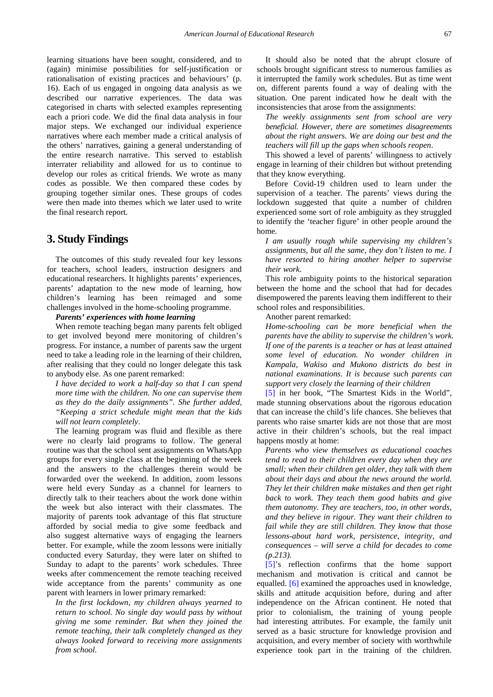learning situations have been sought, considered, and to (again) minimise possibilities for self-justification or rationalisation of existing practices and behaviours' (p. 16). Each of us engaged in ongoing data analysis as we described our narrative experiences. The data was categorised in charts with selected examples representing each a priori code. We did the final data analysis in four major steps. We exchanged our individual experience narratives where each member made a critical analysis of the others' narratives, gaining a general understanding of the entire research narrative. This served to establish interrater reliability and allowed for us to continue to develop our roles as critical friends. We wrote as many codes as possible. We then compared these codes by grouping together similar ones. These groups of codes were then made into themes which we later used to write the final research report.

# **3. Study Findings**

The outcomes of this study revealed four key lessons for teachers, school leaders, instruction designers and educational researchers. It highlights parents' experiences, parents' adaptation to the new mode of learning, how children's learning has been reimaged and some challenges involved in the home-schooling programme.

#### *Parents' experiences with home learning*

When remote teaching began many parents felt obliged to get involved beyond mere monitoring of children's progress. For instance, a number of parents saw the urgent need to take a leading role in the learning of their children, after realising that they could no longer delegate this task to anybody else. As one parent remarked:

*I have decided to work a half-day so that I can spend more time with the children. No one can supervise them as they do the daily assignments". She further added, "Keeping a strict schedule might mean that the kids will not learn completely*.

The learning program was fluid and flexible as there were no clearly laid programs to follow. The general routine was that the school sent assignments on WhatsApp groups for every single class at the beginning of the week and the answers to the challenges therein would be forwarded over the weekend. In addition, zoom lessons were held every Sunday as a channel for learners to directly talk to their teachers about the work done within the week but also interact with their classmates. The majority of parents took advantage of this flat structure afforded by social media to give some feedback and also suggest alternative ways of engaging the learners better. For example, while the zoom lessons were initially conducted every Saturday, they were later on shifted to Sunday to adapt to the parents' work schedules. Three weeks after commencement the remote teaching received wide acceptance from the parents' community as one parent with learners in lower primary remarked:

*In the first lockdown, my children always yearned to return to school. No single day would pass by without giving me some reminder. But when they joined the remote teaching, their talk completely changed as they always looked forward to receiving more assignments from school.* 

It should also be noted that the abrupt closure of schools brought significant stress to numerous families as it interrupted the family work schedules. But as time went on, different parents found a way of dealing with the situation. One parent indicated how he dealt with the inconsistencies that arose from the assignments:

*The weekly assignments sent from school are very beneficial. However, there are sometimes disagreements about the right answers. We are doing our best and the teachers will fill up the gaps when schools reopen*.

This showed a level of parents' willingness to actively engage in learning of their children but without pretending that they know everything.

Before Covid-19 children used to learn under the supervision of a teacher. The parents' views during the lockdown suggested that quite a number of children experienced some sort of role ambiguity as they struggled to identify the 'teacher figure' in other people around the home.

*I am usually rough while supervising my children's assignments, but all the same, they don't listen to me. I have resorted to hiring another helper to supervise their work.* 

This role ambiguity points to the historical separation between the home and the school that had for decades disempowered the parents leaving them indifferent to their school roles and responsibilities.

Another parent remarked:

*Home-schooling can be more beneficial when the parents have the ability to supervise the children's work. If one of the parents is a teacher or has at least attained some level of education. No wonder children in Kampala, Wakiso and Mukono districts do best in national examinations. It is because such parents can support very closely the learning of their children*

[\[5\]](#page-7-4) in her book, "The Smartest Kids in the World", made stunning observations about the rigorous education that can increase the child's life chances. She believes that parents who raise smarter kids are not those that are most active in their children's schools, but the real impact happens mostly at home:

*Parents who view themselves as educational coaches tend to read to their children every day when they are small; when their children get older, they talk with them about their days and about the news around the world. They let their children make mistakes and then get right back to work. They teach them good habits and give them autonomy. They are teachers, too, in other words, and they believe in rigour. They want their children to fail while they are still children. They know that those lessons-about hard work, persistence, integrity, and consequences – will serve a child for decades to come (p.213).*

[\[5\]'](#page-7-4)s reflection confirms that the home support mechanism and motivation is critical and cannot be equalled. [\[6\]](#page-7-5) examined the approaches used in knowledge, skills and attitude acquisition before, during and after independence on the African continent. He noted that prior to colonialism, the training of young people had interesting attributes. For example, the family unit served as a basic structure for knowledge provision and acquisition, and every member of society with worthwhile experience took part in the training of the children.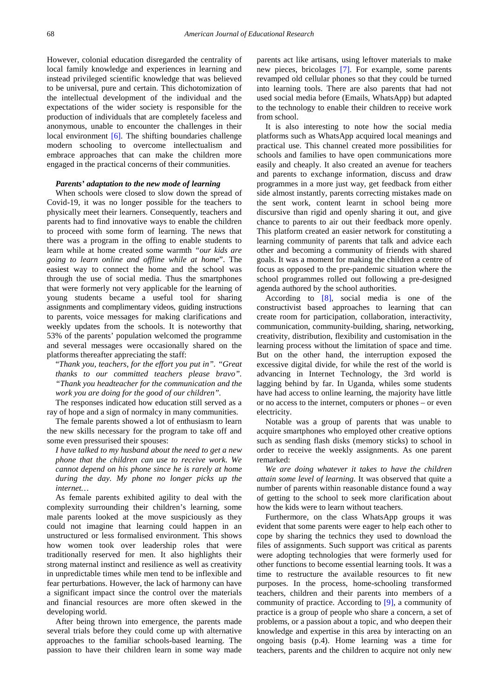However, colonial education disregarded the centrality of local family knowledge and experiences in learning and instead privileged scientific knowledge that was believed to be universal, pure and certain. This dichotomization of the intellectual development of the individual and the expectations of the wider society is responsible for the production of individuals that are completely faceless and anonymous, unable to encounter the challenges in their local environment [\[6\].](#page-7-5) The shifting boundaries challenge modern schooling to overcome intellectualism and embrace approaches that can make the children more engaged in the practical concerns of their communities.

#### *Parents' adaptation to the new mode of learning*

When schools were closed to slow down the spread of Covid-19, it was no longer possible for the teachers to physically meet their learners. Consequently, teachers and parents had to find innovative ways to enable the children to proceed with some form of learning. The news that there was a program in the offing to enable students to learn while at home created some warmth *"our kids are going to learn online and offline while at home*". The easiest way to connect the home and the school was through the use of social media. Thus the smartphones that were formerly not very applicable for the learning of young students became a useful tool for sharing assignments and complimentary videos, guiding instructions to parents, voice messages for making clarifications and weekly updates from the schools. It is noteworthy that 53% of the parents' population welcomed the programme and several messages were occasionally shared on the platforms thereafter appreciating the staff:

"*Thank you, teachers, for the effort you put in". "Great thanks to our committed teachers please bravo". "Thank you headteacher for the communication and the work you are doing for the good of our children".*

The responses indicated how education still served as a ray of hope and a sign of normalcy in many communities.

The female parents showed a lot of enthusiasm to learn the new skills necessary for the program to take off and some even pressurised their spouses:

*I have talked to my husband about the need to get a new phone that the children can use to receive work. We cannot depend on his phone since he is rarely at home during the day. My phone no longer picks up the internet…*

As female parents exhibited agility to deal with the complexity surrounding their children's learning, some male parents looked at the move suspiciously as they could not imagine that learning could happen in an unstructured or less formalised environment. This shows how women took over leadership roles that were traditionally reserved for men. It also highlights their strong maternal instinct and resilience as well as creativity in unpredictable times while men tend to be inflexible and fear perturbations. However, the lack of harmony can have a significant impact since the control over the materials and financial resources are more often skewed in the developing world.

After being thrown into emergence, the parents made several trials before they could come up with alternative approaches to the familiar schools-based learning. The passion to have their children learn in some way made

parents act like artisans, using leftover materials to make new pieces, bricolages [\[7\].](#page-7-6) For example, some parents revamped old cellular phones so that they could be turned into learning tools. There are also parents that had not used social media before (Emails, WhatsApp) but adapted to the technology to enable their children to receive work from school.

It is also interesting to note how the social media platforms such as WhatsApp acquired local meanings and practical use. This channel created more possibilities for schools and families to have open communications more easily and cheaply. It also created an avenue for teachers and parents to exchange information, discuss and draw programmes in a more just way, get feedback from either side almost instantly, parents correcting mistakes made on the sent work, content learnt in school being more discursive than rigid and openly sharing it out, and give chance to parents to air out their feedback more openly. This platform created an easier network for constituting a learning community of parents that talk and advice each other and becoming a community of friends with shared goals. It was a moment for making the children a centre of focus as opposed to the pre-pandemic situation where the school programmes rolled out following a pre-designed agenda authored by the school authorities.

According to [\[8\],](#page-7-7) social media is one of the constructivist based approaches to learning that can create room for participation, collaboration, interactivity, communication, community-building, sharing, networking, creativity, distribution, flexibility and customisation in the learning process without the limitation of space and time. But on the other hand, the interruption exposed the excessive digital divide, for while the rest of the world is advancing in Internet Technology, the 3rd world is lagging behind by far. In Uganda, whiles some students have had access to online learning, the majority have little or no access to the internet, computers or phones – or even electricity.

Notable was a group of parents that was unable to acquire smartphones who employed other creative options such as sending flash disks (memory sticks) to school in order to receive the weekly assignments. As one parent remarked:

*We are doing whatever it takes to have the children attain some level of learning.* It was observed that quite a number of parents within reasonable distance found a way of getting to the school to seek more clarification about how the kids were to learn without teachers.

Furthermore, on the class WhatsApp groups it was evident that some parents were eager to help each other to cope by sharing the technics they used to download the files of assignments. Such support was critical as parents were adopting technologies that were formerly used for other functions to become essential learning tools. It was a time to restructure the available resources to fit new purposes. In the process, home-schooling transformed teachers, children and their parents into members of a community of practice. According to [\[9\],](#page-7-8) a community of practice is a group of people who share a concern, a set of problems, or a passion about a topic, and who deepen their knowledge and expertise in this area by interacting on an ongoing basis (p.4). Home learning was a time for teachers, parents and the children to acquire not only new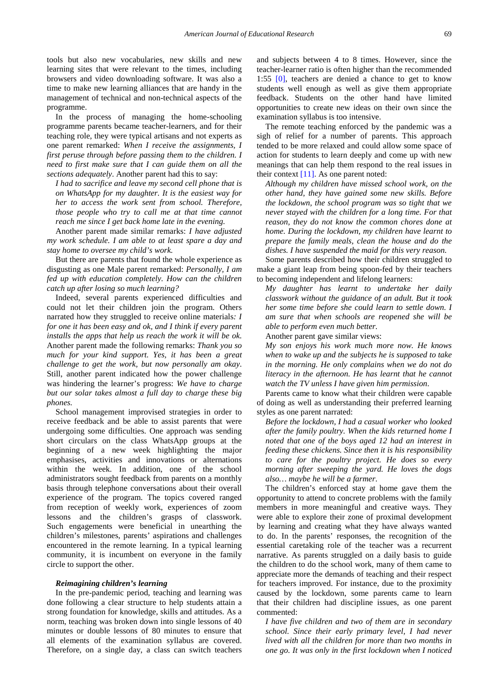tools but also new vocabularies, new skills and new learning sites that were relevant to the times, including browsers and video downloading software. It was also a time to make new learning alliances that are handy in the management of technical and non-technical aspects of the programme.

In the process of managing the home-schooling programme parents became teacher-learners, and for their teaching role, they were typical artisans and not experts as one parent remarked: *When I receive the assignments, I first peruse through before passing them to the children. I need to first make sure that I can guide them on all the sections adequately*. Another parent had this to say:

*I had to sacrifice and leave my second cell phone that is on WhatsApp for my daughter. It is the easiest way for her to access the work sent from school. Therefore, those people who try to call me at that time cannot reach me since I get back home late in the evening.*

Another parent made similar remarks: *I have adjusted my work schedule. I am able to at least spare a day and stay home to oversee my child's work.*

But there are parents that found the whole experience as disgusting as one Male parent remarked: *Personally, I am fed up with education completely. How can the children catch up after losing so much learning?*

Indeed, several parents experienced difficulties and could not let their children join the program. Others narrated how they struggled to receive online materials*: I for one it has been easy and ok, and I think if every parent installs the apps that help us reach the work it will be ok.* Another parent made the following remarks: *Thank you so much for your kind support. Yes, it has been a great challenge to get the work, but now personally am okay*. Still, another parent indicated how the power challenge was hindering the learner's progress: *We have to charge but our solar takes almost a full day to charge these big phones.*

School management improvised strategies in order to receive feedback and be able to assist parents that were undergoing some difficulties. One approach was sending short circulars on the class WhatsApp groups at the beginning of a new week highlighting the major emphasises, activities and innovations or alternations within the week. In addition, one of the school administrators sought feedback from parents on a monthly basis through telephone conversations about their overall experience of the program. The topics covered ranged from reception of weekly work, experiences of zoom lessons and the children's grasps of classwork. Such engagements were beneficial in unearthing the children's milestones, parents' aspirations and challenges encountered in the remote learning. In a typical learning community, it is incumbent on everyone in the family circle to support the other.

#### *Reimagining children's learning*

In the pre-pandemic period, teaching and learning was done following a clear structure to help students attain a strong foundation for knowledge, skills and attitudes. As a norm, teaching was broken down into single lessons of 40 minutes or double lessons of 80 minutes to ensure that all elements of the examination syllabus are covered. Therefore, on a single day, a class can switch teachers and subjects between 4 to 8 times. However, since the teacher-learner ratio is often higher than the recommended 1:55 [0], teachers are denied a chance to get to know students well enough as well as give them appropriate feedback. Students on the other hand have limited opportunities to create new ideas on their own since the examination syllabus is too intensive.

The remote teaching enforced by the pandemic was a sigh of relief for a number of parents. This approach tended to be more relaxed and could allow some space of action for students to learn deeply and come up with new meanings that can help them respond to the real issues in their context [\[11\].](#page-7-9) As one parent noted:

*Although my children have missed school work, on the other hand, they have gained some new skills. Before the lockdown, the school program was so tight that we never stayed with the children for a long time. For that reason, they do not know the common chores done at home. During the lockdown, my children have learnt to prepare the family meals, clean the house and do the dishes. I have suspended the maid for this very reason.*

Some parents described how their children struggled to make a giant leap from being spoon-fed by their teachers to becoming independent and lifelong learners:

*My daughter has learnt to undertake her daily classwork without the guidance of an adult. But it took her some time before she could learn to settle down. I am sure that when schools are reopened she will be able to perform even much better.*

Another parent gave similar views:

*My son enjoys his work much more now. He knows when to wake up and the subjects he is supposed to take in the morning. He only complains when we do not do literacy in the afternoon. He has learnt that he cannot watch the TV unless I have given him permission*.

Parents came to know what their children were capable of doing as well as understanding their preferred learning styles as one parent narrated:

*Before the lockdown, I had a casual worker who looked after the family poultry. When the kids returned home I noted that one of the boys aged 12 had an interest in feeding these chickens. Since then it is his responsibility to care for the poultry project. He does so every morning after sweeping the yard. He loves the dogs also… maybe he will be a farmer*.

The children's enforced stay at home gave them the opportunity to attend to concrete problems with the family members in more meaningful and creative ways. They were able to explore their zone of proximal development by learning and creating what they have always wanted to do. In the parents' responses, the recognition of the essential caretaking role of the teacher was a recurrent narrative. As parents struggled on a daily basis to guide the children to do the school work, many of them came to appreciate more the demands of teaching and their respect for teachers improved. For instance, due to the proximity caused by the lockdown, some parents came to learn that their children had discipline issues, as one parent commented:

*I have five children and two of them are in secondary school. Since their early primary level, I had never lived with all the children for more than two months in one go. It was only in the first lockdown when I noticed*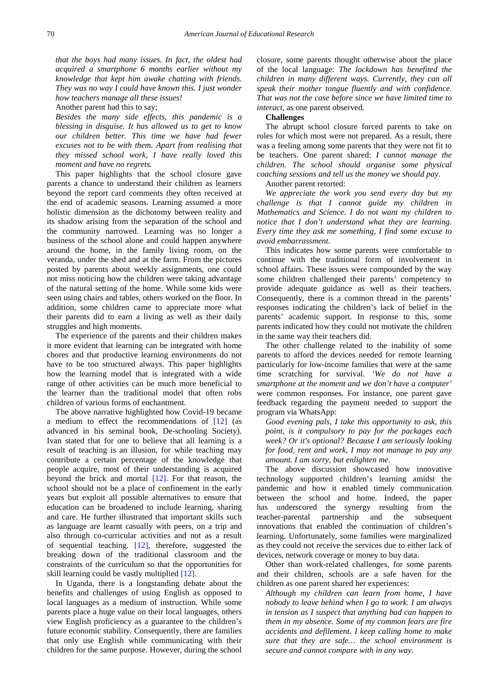*that the boys had many issues. In fact, the oldest had acquired a smartphone 6 months earlier without my knowledge that kept him awake chatting with friends. They was no way I could have known this. I just wonder how teachers manage all these issues!*

Another parent had this to say;

*Besides the many side effects, this pandemic is a blessing in disguise. It has allowed us to get to know our children better. This time we have had fewer excuses not to be with them. Apart from realising that they missed school work, I have really loved this moment and have no regrets.*

This paper highlights that the school closure gave parents a chance to understand their children as learners beyond the report card comments they often received at the end of academic seasons. Learning assumed a more holistic dimension as the dichotomy between reality and its shadow arising from the separation of the school and the community narrowed. Learning was no longer a business of the school alone and could happen anywhere around the home, in the family living room, on the veranda, under the shed and at the farm. From the pictures posted by parents about weekly assignments, one could not miss noticing how the children were taking advantage of the natural setting of the home. While some kids were seen using chairs and tables, others worked on the floor. In addition, some children came to appreciate more what their parents did to earn a living as well as their daily struggles and high moments.

The experience of the parents and their children makes it more evident that learning can be integrated with home chores and that productive learning environments do not have to be too structured always. This paper highlights how the learning model that is integrated with a wide range of other activities can be much more beneficial to the learner than the traditional model that often robs children of various forms of enchantment.

The above narrative highlighted how Covid-19 became a medium to effect the recommendations of  $[12]$  (as advanced in his seminal book, De-schooling Society). Ivan stated that for one to believe that all learning is a result of teaching is an illusion, for while teaching may contribute a certain percentage of the knowledge that people acquire, most of their understanding is acquired beyond the brick and mortal [\[12\].](#page-7-10) For that reason, the school should not be a place of confinement in the early years but exploit all possible alternatives to ensure that education can be broadened to include learning, sharing and care. He further illustrated that important skills such as language are learnt casually with peers, on a trip and also through co-curricular activities and not as a result of sequential teaching. [\[12\],](#page-7-10) therefore, suggested the breaking down of the traditional classroom and the constraints of the curriculum so that the opportunities for skill learning could be vastly multiplied [\[12\].](#page-7-10)

In Uganda, there is a longstanding debate about the benefits and challenges of using English as opposed to local languages as a medium of instruction. While some parents place a huge value on their local languages, others view English proficiency as a guarantee to the children's future economic stability. Consequently, there are families that only use English while communicating with their children for the same purpose. However, during the school

closure, some parents thought otherwise about the place of the local language: *The lockdown has benefited the children in many different ways. Currently, they can all speak their mother tongue fluently and with confidence. That was not the case before since we have limited time to interact,* as one parent observed*.*

#### **Challenges**

The abrupt school closure forced parents to take on roles for which most were not prepared. As a result, there was a feeling among some parents that they were not fit to be teachers. One parent shared: *I cannot manage the children. The school should organise some physical coaching sessions and tell us the money we should pay*.

Another parent retorted:

*We appreciate the work you send every day but my challenge is that I cannot guide my children in Mathematics and Science. I do not want my children to notice that I don't understand what they are learning. Every time they ask me something, I find some excuse to avoid embarrassment.*

This indicates how some parents were comfortable to continue with the traditional form of involvement in school affairs. These issues were compounded by the way some children challenged their parents' competency to provide adequate guidance as well as their teachers. Consequently, there is a common thread in the parents' responses indicating the children's lack of belief in the parents' academic support. In response to this, some parents indicated how they could not motivate the children in the same way their teachers did.

The other challenge related to the inability of some parents to afford the devices needed for remote learning particularly for low-income families that were at the same time scratching for survival. *'We do not have a smartphone at the moment and we don't have a computer'*  were common responses*.* For instance, one parent gave feedback regarding the payment needed to support the program via WhatsApp:

*Good evening pals, I take this opportunity to ask, this point, is it compulsory to pay for the packages each week? Or it's optional? Because I am seriously looking for food, rent and work, I may not manage to pay any amount. I am sorry, but enlighten me*.

The above discussion showcased how innovative technology supported children's learning amidst the pandemic and how it enabled timely communication between the school and home. Indeed, the paper has underscored the synergy resulting from the teacher-parental partnership and the subsequent innovations that enabled the continuation of children's learning. Unfortunately, some families were marginalized as they could not receive the services due to either lack of devices, network coverage or money to buy data.

Other than work-related challenges, for some parents and their children, schools are a safe haven for the children as one parent shared her experiences:

*Although my children can learn from home, I have nobody to leave behind when I go to work. I am always in tension as I suspect that anything bad can happen to them in my absence. Some of my common fears are fire accidents and defilement. I keep calling home to make sure that they are safe… the school environment is secure and cannot compare with in any way.*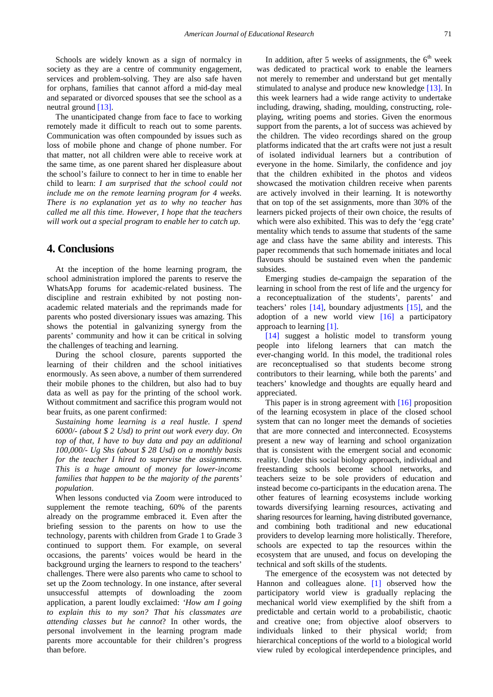Schools are widely known as a sign of normalcy in society as they are a centre of community engagement, services and problem-solving. They are also safe haven for orphans, families that cannot afford a mid-day meal and separated or divorced spouses that see the school as a neutral ground [\[13\].](#page-7-11)

The unanticipated change from face to face to working remotely made it difficult to reach out to some parents. Communication was often compounded by issues such as loss of mobile phone and change of phone number. For that matter, not all children were able to receive work at the same time, as one parent shared her displeasure about the school's failure to connect to her in time to enable her child to learn: *I am surprised that the school could not include me on the remote learning program for 4 weeks. There is no explanation yet as to why no teacher has called me all this time. However, I hope that the teachers will work out a special program to enable her to catch up*.

# **4. Conclusions**

At the inception of the home learning program, the school administration implored the parents to reserve the WhatsApp forums for academic-related business. The discipline and restrain exhibited by not posting nonacademic related materials and the reprimands made for parents who posted diversionary issues was amazing. This shows the potential in galvanizing synergy from the parents' community and how it can be critical in solving the challenges of teaching and learning.

During the school closure, parents supported the learning of their children and the school initiatives enormously. As seen above, a number of them surrendered their mobile phones to the children, but also had to buy data as well as pay for the printing of the school work. Without commitment and sacrifice this program would not bear fruits, as one parent confirmed:

*Sustaining home learning is a real hustle. I spend 6000/- (about \$ 2 Usd) to print out work every day. On top of that, I have to buy data and pay an additional 100,000/- Ug Shs (about \$ 28 Usd) on a monthly basis for the teacher I hired to supervise the assignments. This is a huge amount of money for lower-income families that happen to be the majority of the parents' population*.

When lessons conducted via Zoom were introduced to supplement the remote teaching, 60% of the parents already on the programme embraced it. Even after the briefing session to the parents on how to use the technology, parents with children from Grade 1 to Grade 3 continued to support them. For example, on several occasions, the parents' voices would be heard in the background urging the learners to respond to the teachers' challenges. There were also parents who came to school to set up the Zoom technology. In one instance, after several unsuccessful attempts of downloading the zoom application, a parent loudly exclaimed: *'How am I going to explain this to my son? That his classmates are attending classes but he cannot*? In other words, the personal involvement in the learning program made parents more accountable for their children's progress than before.

In addition, after 5 weeks of assignments, the  $6<sup>th</sup>$  week was dedicated to practical work to enable the learners not merely to remember and understand but get mentally stimulated to analyse and produce new knowledge [\[13\].](#page-7-11) In this week learners had a wide range activity to undertake including, drawing, shading, moulding, constructing, roleplaying, writing poems and stories. Given the enormous support from the parents, a lot of success was achieved by the children. The video recordings shared on the group platforms indicated that the art crafts were not just a result of isolated individual learners but a contribution of everyone in the home. Similarly, the confidence and joy that the children exhibited in the photos and videos showcased the motivation children receive when parents are actively involved in their learning. It is noteworthy that on top of the set assignments, more than 30% of the learners picked projects of their own choice, the results of which were also exhibited. This was to defy the 'egg crate' mentality which tends to assume that students of the same age and class have the same ability and interests. This paper recommends that such homemade initiates and local flavours should be sustained even when the pandemic subsides.

Emerging studies de-campaign the separation of the learning in school from the rest of life and the urgency for a reconceptualization of the students', parents' and teachers' roles [\[14\],](#page-7-12) boundary adjustments [\[15\],](#page-7-13) and the adoption of a new world view  $[16]$  a participatory approach to learning [\[1\].](#page-7-0)

[\[14\]](#page-7-12) suggest a holistic model to transform young people into lifelong learners that can match the ever-changing world. In this model, the traditional roles are reconceptualised so that students become strong contributors to their learning, while both the parents' and teachers' knowledge and thoughts are equally heard and appreciated.

This paper is in strong agreement with [\[16\]](#page-7-14) proposition of the learning ecosystem in place of the closed school system that can no longer meet the demands of societies that are more connected and interconnected. Ecosystems present a new way of learning and school organization that is consistent with the emergent social and economic reality. Under this social biology approach, individual and freestanding schools become school networks, and teachers seize to be sole providers of education and instead become co-participants in the education arena. The other features of learning ecosystems include working towards diversifying learning resources, activating and sharing resources for learning, having distributed governance, and combining both traditional and new educational providers to develop learning more holistically. Therefore, schools are expected to tap the resources within the ecosystem that are unused, and focus on developing the technical and soft skills of the students.

The emergence of the ecosystem was not detected by Hannon and colleagues alone. [\[1\]](#page-7-0) observed how the participatory world view is gradually replacing the mechanical world view exemplified by the shift from a predictable and certain world to a probabilistic, chaotic and creative one; from objective aloof observers to individuals linked to their physical world; from hierarchical conceptions of the world to a biological world view ruled by ecological interdependence principles, and